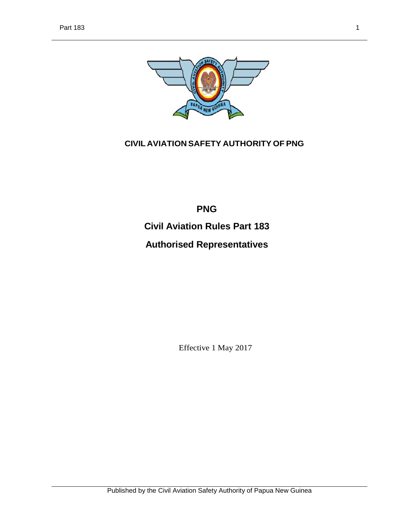

## **CIVIL AVIATION SAFETY AUTHORITY OF PNG**

**PNG Civil Aviation Rules Part 183 Authorised Representatives**

Effective 1 May 2017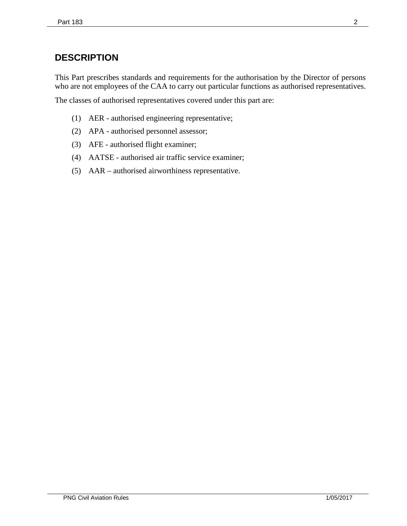# **DESCRIPTION**

This Part prescribes standards and requirements for the authorisation by the Director of persons who are not employees of the CAA to carry out particular functions as authorised representatives.

The classes of authorised representatives covered under this part are:

- (1) AER authorised engineering representative;
- (2) APA authorised personnel assessor;
- (3) AFE authorised flight examiner;
- (4) AATSE authorised air traffic service examiner;
- (5) AAR authorised airworthiness representative.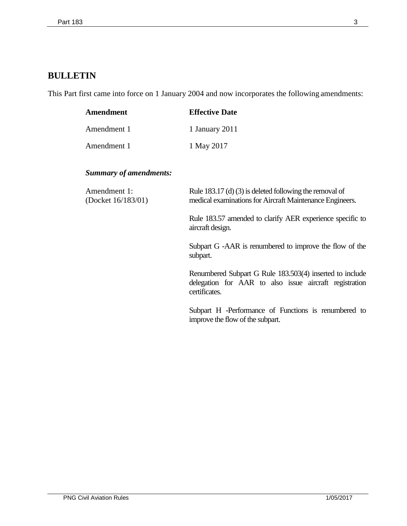# **BULLETIN**

This Part first came into force on 1 January 2004 and now incorporates the following amendments:

| Amendment   | <b>Effective Date</b> |
|-------------|-----------------------|
| Amendment 1 | 1 January 2011        |
| Amendment 1 | 1 May 2017            |

## *Summary of amendments:*

| Amendment 1:<br>(Docket 16/183/01) | Rule 183.17 (d) (3) is deleted following the removal of<br>medical examinations for Aircraft Maintenance Engineers.                 |  |
|------------------------------------|-------------------------------------------------------------------------------------------------------------------------------------|--|
|                                    | Rule 183.57 amended to clarify AER experience specific to<br>aircraft design.                                                       |  |
|                                    | Subpart G -AAR is renumbered to improve the flow of the<br>subpart.                                                                 |  |
|                                    | Renumbered Subpart G Rule 183.503(4) inserted to include<br>delegation for AAR to also issue aircraft registration<br>certificates. |  |
|                                    | Subpart H -Performance of Functions is renumbered to<br>improve the flow of the subpart.                                            |  |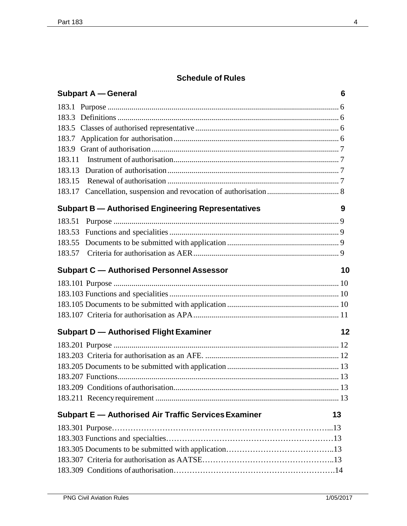# **Schedule of Rules**

|        | <b>Subpart A – General</b>                                 | 6  |
|--------|------------------------------------------------------------|----|
|        |                                                            |    |
|        |                                                            |    |
|        |                                                            |    |
|        |                                                            |    |
|        |                                                            |    |
| 183.11 |                                                            |    |
|        |                                                            |    |
|        |                                                            |    |
|        |                                                            |    |
|        | <b>Subpart B - Authorised Engineering Representatives</b>  | 9  |
| 183.51 |                                                            |    |
|        |                                                            |    |
|        |                                                            |    |
|        |                                                            |    |
|        | <b>Subpart C - Authorised Personnel Assessor</b>           | 10 |
|        |                                                            |    |
|        |                                                            |    |
|        |                                                            |    |
|        |                                                            |    |
|        | <b>Subpart D - Authorised Flight Examiner</b>              | 12 |
|        |                                                            |    |
|        |                                                            |    |
|        |                                                            |    |
|        |                                                            |    |
|        |                                                            |    |
|        |                                                            |    |
|        | Subpart E - Authorised Air Traffic Services Examiner<br>13 |    |
|        |                                                            |    |
|        |                                                            |    |
|        |                                                            |    |
|        |                                                            |    |
|        |                                                            |    |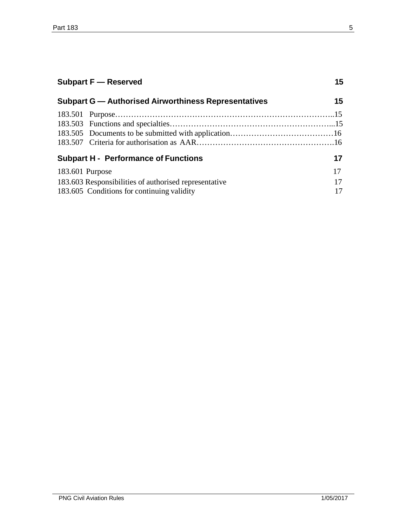| <b>Subpart F</b> - Reserved                                 |  | 15 |  |
|-------------------------------------------------------------|--|----|--|
| <b>Subpart G - Authorised Airworthiness Representatives</b> |  | 15 |  |
|                                                             |  |    |  |
|                                                             |  |    |  |
|                                                             |  |    |  |
|                                                             |  |    |  |
| <b>Subpart H - Performance of Functions</b>                 |  | 17 |  |
| 183.601 Purpose                                             |  | 17 |  |
| 183.603 Responsibilities of authorised representative       |  | 17 |  |
| 183.605 Conditions for continuing validity                  |  | 17 |  |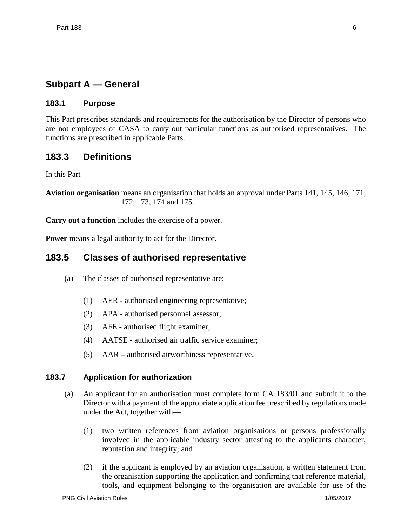## **Subpart A — General**

### **183.1 Purpose**

This Part prescribes standards and requirements for the authorisation by the Director of persons who are not employees of CASA to carry out particular functions as authorised representatives. The functions are prescribed in applicable Parts.

## **183.3 Definitions**

In this Part—

**Aviation organisation** means an organisation that holds an approval under Parts 141, 145, 146, 171, 172, 173, 174 and 175.

**Carry out a function** includes the exercise of a power.

**Power** means a legal authority to act for the Director.

## **183.5 Classes of authorised representative**

- (a) The classes of authorised representative are:
	- (1) AER authorised engineering representative;
	- (2) APA authorised personnel assessor;
	- (3) AFE authorised flight examiner;
	- (4) AATSE authorised air traffic service examiner;
	- (5) AAR authorised airworthiness representative.

### **183.7 Application for authorization**

- (a) An applicant for an authorisation must complete form CA 183/01 and submit it to the Director with a payment of the appropriate application fee prescribed by regulations made under the Act, together with—
	- (1) two written references from aviation organisations or persons professionally involved in the applicable industry sector attesting to the applicants character, reputation and integrity; and
	- (2) if the applicant is employed by an aviation organisation, a written statement from the organisation supporting the application and confirming that reference material, tools, and equipment belonging to the organisation are available for use of the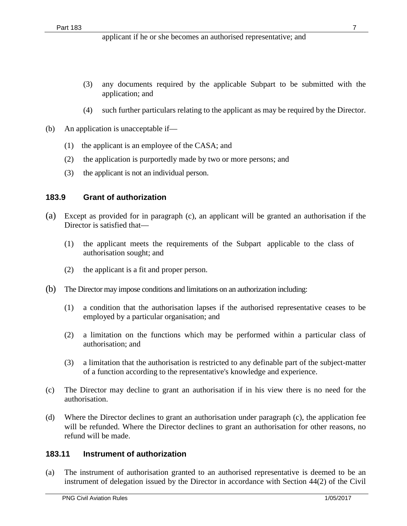- (3) any documents required by the applicable Subpart to be submitted with the application; and
- (4) such further particulars relating to the applicant as may be required by the Director.
- (b) An application is unacceptable if—
	- (1) the applicant is an employee of the CASA; and
	- (2) the application is purportedly made by two or more persons; and
	- (3) the applicant is not an individual person.

### **183.9 Grant of authorization**

- (a) Except as provided for in paragraph (c), an applicant will be granted an authorisation if the Director is satisfied that—
	- (1) the applicant meets the requirements of the Subpart applicable to the class of authorisation sought; and
	- (2) the applicant is a fit and proper person.
- (b) The Director may impose conditions and limitations on an authorization including:
	- (1) a condition that the authorisation lapses if the authorised representative ceases to be employed by a particular organisation; and
	- (2) a limitation on the functions which may be performed within a particular class of authorisation; and
	- (3) a limitation that the authorisation is restricted to any definable part of the subject-matter of a function according to the representative's knowledge and experience.
- (c) The Director may decline to grant an authorisation if in his view there is no need for the authorisation.
- (d) Where the Director declines to grant an authorisation under paragraph (c), the application fee will be refunded. Where the Director declines to grant an authorisation for other reasons, no refund will be made.

### **183.11 Instrument of authorization**

(a) The instrument of authorisation granted to an authorised representative is deemed to be an instrument of delegation issued by the Director in accordance with Section 44(2) of the Civil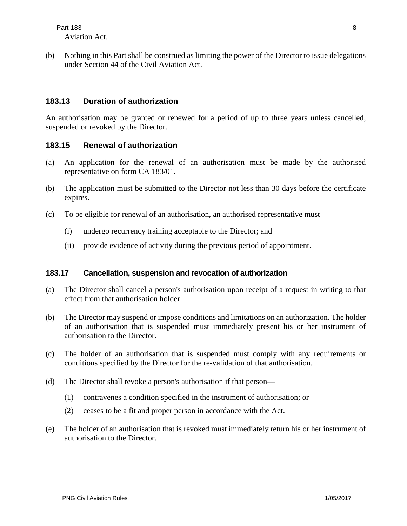Aviation Act.

(b) Nothing in this Part shall be construed as limiting the power of the Director to issue delegations under Section 44 of the Civil Aviation Act.

### **183.13 Duration of authorization**

An authorisation may be granted or renewed for a period of up to three years unless cancelled, suspended or revoked by the Director.

### **183.15 Renewal of authorization**

- (a) An application for the renewal of an authorisation must be made by the authorised representative on form CA 183/01.
- (b) The application must be submitted to the Director not less than 30 days before the certificate expires.
- (c) To be eligible for renewal of an authorisation, an authorised representative must
	- (i) undergo recurrency training acceptable to the Director; and
	- (ii) provide evidence of activity during the previous period of appointment.

### **183.17 Cancellation, suspension and revocation of authorization**

- (a) The Director shall cancel a person's authorisation upon receipt of a request in writing to that effect from that authorisation holder.
- (b) The Director may suspend or impose conditions and limitations on an authorization. The holder of an authorisation that is suspended must immediately present his or her instrument of authorisation to the Director.
- (c) The holder of an authorisation that is suspended must comply with any requirements or conditions specified by the Director for the re-validation of that authorisation.
- (d) The Director shall revoke a person's authorisation if that person—
	- (1) contravenes a condition specified in the instrument of authorisation; or
	- (2) ceases to be a fit and proper person in accordance with the Act.
- (e) The holder of an authorisation that is revoked must immediately return his or her instrument of authorisation to the Director.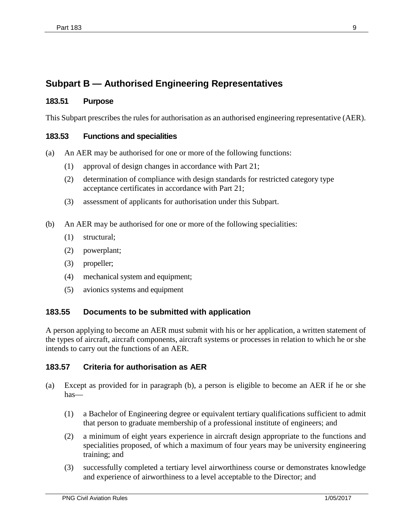# **Subpart B — Authorised Engineering Representatives**

### **183.51 Purpose**

This Subpart prescribes the rules for authorisation as an authorised engineering representative (AER).

### **183.53 Functions and specialities**

- (a) An AER may be authorised for one or more of the following functions:
	- (1) approval of design changes in accordance with Part 21;
	- (2) determination of compliance with design standards for restricted category type acceptance certificates in accordance with Part 21;
	- (3) assessment of applicants for authorisation under this Subpart.
- (b) An AER may be authorised for one or more of the following specialities:
	- (1) structural;
	- (2) powerplant;
	- (3) propeller;
	- (4) mechanical system and equipment;
	- (5) avionics systems and equipment

### **183.55 Documents to be submitted with application**

A person applying to become an AER must submit with his or her application, a written statement of the types of aircraft, aircraft components, aircraft systems or processes in relation to which he or she intends to carry out the functions of an AER.

### **183.57 Criteria for authorisation as AER**

- (a) Except as provided for in paragraph (b), a person is eligible to become an AER if he or she has—
	- (1) a Bachelor of Engineering degree or equivalent tertiary qualifications sufficient to admit that person to graduate membership of a professional institute of engineers; and
	- (2) a minimum of eight years experience in aircraft design appropriate to the functions and specialities proposed, of which a maximum of four years may be university engineering training; and
	- (3) successfully completed a tertiary level airworthiness course or demonstrates knowledge and experience of airworthiness to a level acceptable to the Director; and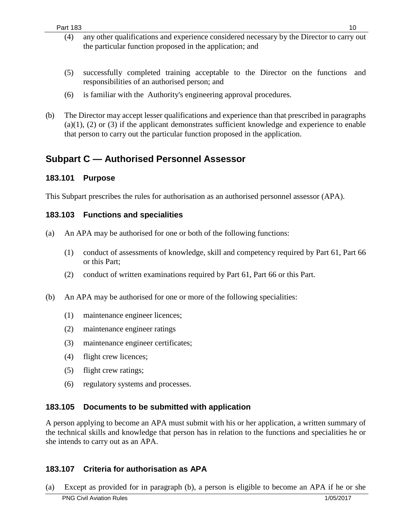- (4) any other qualifications and experience considered necessary by the Director to carry out the particular function proposed in the application; and
- (5) successfully completed training acceptable to the Director on the functions and responsibilities of an authorised person; and
- (6) is familiar with the Authority's engineering approval procedures.
- (b) The Director may accept lesser qualifications and experience than that prescribed in paragraphs  $(a)(1)$ ,  $(2)$  or  $(3)$  if the applicant demonstrates sufficient knowledge and experience to enable that person to carry out the particular function proposed in the application.

## **Subpart C — Authorised Personnel Assessor**

### **183.101 Purpose**

This Subpart prescribes the rules for authorisation as an authorised personnel assessor (APA).

### **183.103 Functions and specialities**

- (a) An APA may be authorised for one or both of the following functions:
	- (1) conduct of assessments of knowledge, skill and competency required by Part 61, Part 66 or this Part;
	- (2) conduct of written examinations required by Part 61, Part 66 or this Part.
- (b) An APA may be authorised for one or more of the following specialities:
	- (1) maintenance engineer licences;
	- (2) maintenance engineer ratings
	- (3) maintenance engineer certificates;
	- (4) flight crew licences;
	- (5) flight crew ratings;
	- (6) regulatory systems and processes.

### **183.105 Documents to be submitted with application**

A person applying to become an APA must submit with his or her application, a written summary of the technical skills and knowledge that person has in relation to the functions and specialities he or she intends to carry out as an APA.

## **183.107 Criteria for authorisation as APA**

(a) Except as provided for in paragraph (b), a person is eligible to become an APA if he or she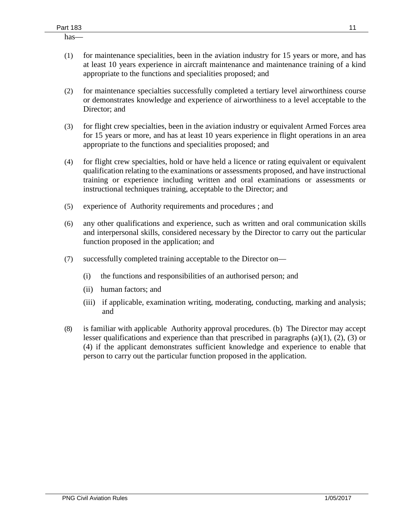has—

- (1) for maintenance specialities, been in the aviation industry for 15 years or more, and has at least 10 years experience in aircraft maintenance and maintenance training of a kind appropriate to the functions and specialities proposed; and
- (2) for maintenance specialties successfully completed a tertiary level airworthiness course or demonstrates knowledge and experience of airworthiness to a level acceptable to the Director; and
- (3) for flight crew specialties, been in the aviation industry or equivalent Armed Forces area for 15 years or more, and has at least 10 years experience in flight operations in an area appropriate to the functions and specialities proposed; and
- (4) for flight crew specialties, hold or have held a licence or rating equivalent or equivalent qualification relating to the examinations or assessments proposed, and have instructional training or experience including written and oral examinations or assessments or instructional techniques training, acceptable to the Director; and
- (5) experience of Authority requirements and procedures ; and
- (6) any other qualifications and experience, such as written and oral communication skills and interpersonal skills, considered necessary by the Director to carry out the particular function proposed in the application; and
- (7) successfully completed training acceptable to the Director on—
	- (i) the functions and responsibilities of an authorised person; and
	- (ii) human factors; and
	- (iii) if applicable, examination writing, moderating, conducting, marking and analysis; and
- (8) is familiar with applicable Authority approval procedures. (b) The Director may accept lesser qualifications and experience than that prescribed in paragraphs  $(a)(1)$ ,  $(2)$ ,  $(3)$  or (4) if the applicant demonstrates sufficient knowledge and experience to enable that person to carry out the particular function proposed in the application.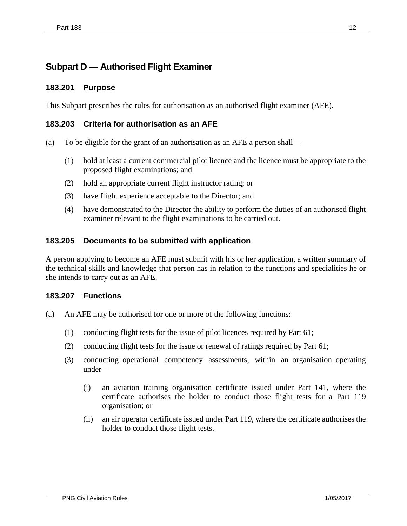# **Subpart D — Authorised Flight Examiner**

### **183.201 Purpose**

This Subpart prescribes the rules for authorisation as an authorised flight examiner (AFE).

### **183.203 Criteria for authorisation as an AFE**

- (a) To be eligible for the grant of an authorisation as an AFE a person shall—
	- (1) hold at least a current commercial pilot licence and the licence must be appropriate to the proposed flight examinations; and
	- (2) hold an appropriate current flight instructor rating; or
	- (3) have flight experience acceptable to the Director; and
	- (4) have demonstrated to the Director the ability to perform the duties of an authorised flight examiner relevant to the flight examinations to be carried out.

### **183.205 Documents to be submitted with application**

A person applying to become an AFE must submit with his or her application, a written summary of the technical skills and knowledge that person has in relation to the functions and specialities he or she intends to carry out as an AFE.

### **183.207 Functions**

- (a) An AFE may be authorised for one or more of the following functions:
	- (1) conducting flight tests for the issue of pilot licences required by Part 61;
	- (2) conducting flight tests for the issue or renewal of ratings required by Part 61;
	- (3) conducting operational competency assessments, within an organisation operating under—
		- (i) an aviation training organisation certificate issued under Part 141, where the certificate authorises the holder to conduct those flight tests for a Part 119 organisation; or
		- (ii) an air operator certificate issued under Part 119, where the certificate authorises the holder to conduct those flight tests.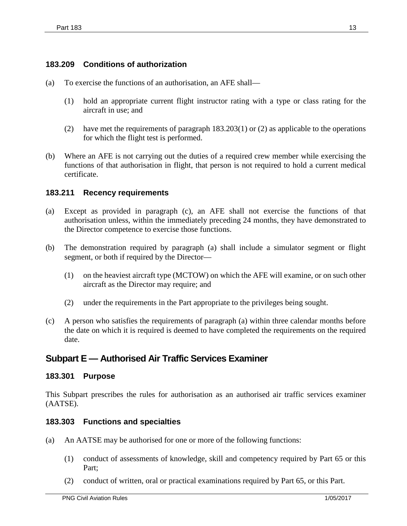### **183.209 Conditions of authorization**

- (a) To exercise the functions of an authorisation, an AFE shall—
	- (1) hold an appropriate current flight instructor rating with a type or class rating for the aircraft in use; and
	- (2) have met the requirements of paragraph 183.203(1) or (2) as applicable to the operations for which the flight test is performed.
- (b) Where an AFE is not carrying out the duties of a required crew member while exercising the functions of that authorisation in flight, that person is not required to hold a current medical certificate.

### **183.211 Recency requirements**

- (a) Except as provided in paragraph (c), an AFE shall not exercise the functions of that authorisation unless, within the immediately preceding 24 months, they have demonstrated to the Director competence to exercise those functions.
- (b) The demonstration required by paragraph (a) shall include a simulator segment or flight segment, or both if required by the Director—
	- (1) on the heaviest aircraft type (MCTOW) on which the AFE will examine, or on such other aircraft as the Director may require; and
	- (2) under the requirements in the Part appropriate to the privileges being sought.
- (c) A person who satisfies the requirements of paragraph (a) within three calendar months before the date on which it is required is deemed to have completed the requirements on the required date.

## **Subpart E — Authorised Air Traffic Services Examiner**

### **183.301 Purpose**

This Subpart prescribes the rules for authorisation as an authorised air traffic services examiner (AATSE).

### **183.303 Functions and specialties**

- (a) An AATSE may be authorised for one or more of the following functions:
	- (1) conduct of assessments of knowledge, skill and competency required by Part 65 or this Part;
	- (2) conduct of written, oral or practical examinations required by Part 65, or this Part.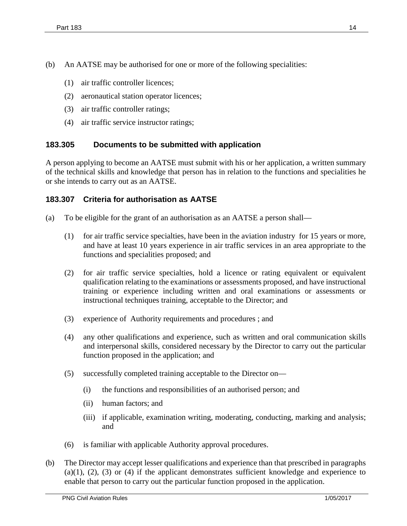- (1) air traffic controller licences;
- (2) aeronautical station operator licences;
- (3) air traffic controller ratings;
- (4) air traffic service instructor ratings;

### **183.305 Documents to be submitted with application**

A person applying to become an AATSE must submit with his or her application, a written summary of the technical skills and knowledge that person has in relation to the functions and specialities he or she intends to carry out as an AATSE.

### **183.307 Criteria for authorisation as AATSE**

- (a) To be eligible for the grant of an authorisation as an AATSE a person shall—
	- (1) for air traffic service specialties, have been in the aviation industry for 15 years or more, and have at least 10 years experience in air traffic services in an area appropriate to the functions and specialities proposed; and
	- (2) for air traffic service specialties, hold a licence or rating equivalent or equivalent qualification relating to the examinations or assessments proposed, and have instructional training or experience including written and oral examinations or assessments or instructional techniques training, acceptable to the Director; and
	- (3) experience of Authority requirements and procedures ; and
	- (4) any other qualifications and experience, such as written and oral communication skills and interpersonal skills, considered necessary by the Director to carry out the particular function proposed in the application; and
	- (5) successfully completed training acceptable to the Director on—
		- (i) the functions and responsibilities of an authorised person; and
		- (ii) human factors; and
		- (iii) if applicable, examination writing, moderating, conducting, marking and analysis; and
	- (6) is familiar with applicable Authority approval procedures.
- (b) The Director may accept lesser qualifications and experience than that prescribed in paragraphs  $(a)(1), (2), (3)$  or  $(4)$  if the applicant demonstrates sufficient knowledge and experience to enable that person to carry out the particular function proposed in the application.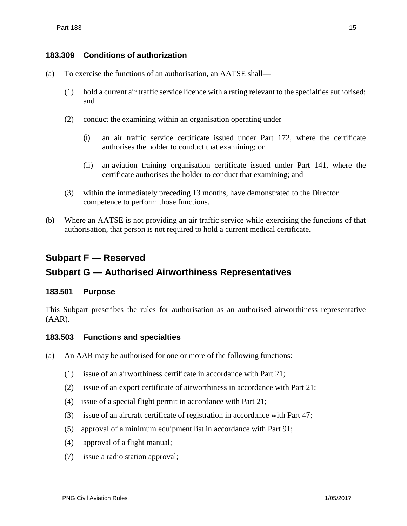### **183.309 Conditions of authorization**

- (a) To exercise the functions of an authorisation, an AATSE shall—
	- (1) hold a current air traffic service licence with a rating relevant to the specialties authorised; and
	- (2) conduct the examining within an organisation operating under—
		- (i) an air traffic service certificate issued under Part 172, where the certificate authorises the holder to conduct that examining; or
		- (ii) an aviation training organisation certificate issued under Part 141, where the certificate authorises the holder to conduct that examining; and
	- (3) within the immediately preceding 13 months, have demonstrated to the Director competence to perform those functions.
- (b) Where an AATSE is not providing an air traffic service while exercising the functions of that authorisation, that person is not required to hold a current medical certificate.

# **Subpart F — Reserved**

## **Subpart G — Authorised Airworthiness Representatives**

### **183.501 Purpose**

This Subpart prescribes the rules for authorisation as an authorised airworthiness representative (AAR).

### **183.503 Functions and specialties**

- (a) An AAR may be authorised for one or more of the following functions:
	- (1) issue of an airworthiness certificate in accordance with Part 21;
	- (2) issue of an export certificate of airworthiness in accordance with Part 21;
	- (4) issue of a special flight permit in accordance with Part 21;
	- (3) issue of an aircraft certificate of registration in accordance with Part 47;
	- (5) approval of a minimum equipment list in accordance with Part 91;
	- (4) approval of a flight manual;
	- (7) issue a radio station approval;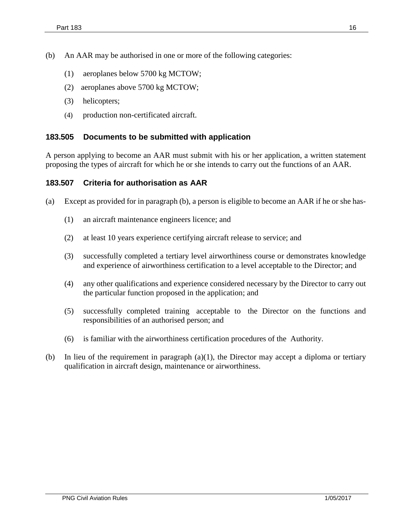- (1) aeroplanes below 5700 kg MCTOW;
- (2) aeroplanes above 5700 kg MCTOW;
- (3) helicopters;
- (4) production non-certificated aircraft.

### **183.505 Documents to be submitted with application**

A person applying to become an AAR must submit with his or her application, a written statement proposing the types of aircraft for which he or she intends to carry out the functions of an AAR.

### **183.507 Criteria for authorisation as AAR**

- (a) Except as provided for in paragraph (b), a person is eligible to become an AAR if he or she has-
	- (1) an aircraft maintenance engineers licence; and
	- (2) at least 10 years experience certifying aircraft release to service; and
	- (3) successfully completed a tertiary level airworthiness course or demonstrates knowledge and experience of airworthiness certification to a level acceptable to the Director; and
	- (4) any other qualifications and experience considered necessary by the Director to carry out the particular function proposed in the application; and
	- (5) successfully completed training acceptable to the Director on the functions and responsibilities of an authorised person; and
	- (6) is familiar with the airworthiness certification procedures of the Authority.
- (b) In lieu of the requirement in paragraph  $(a)(1)$ , the Director may accept a diploma or tertiary qualification in aircraft design, maintenance or airworthiness.